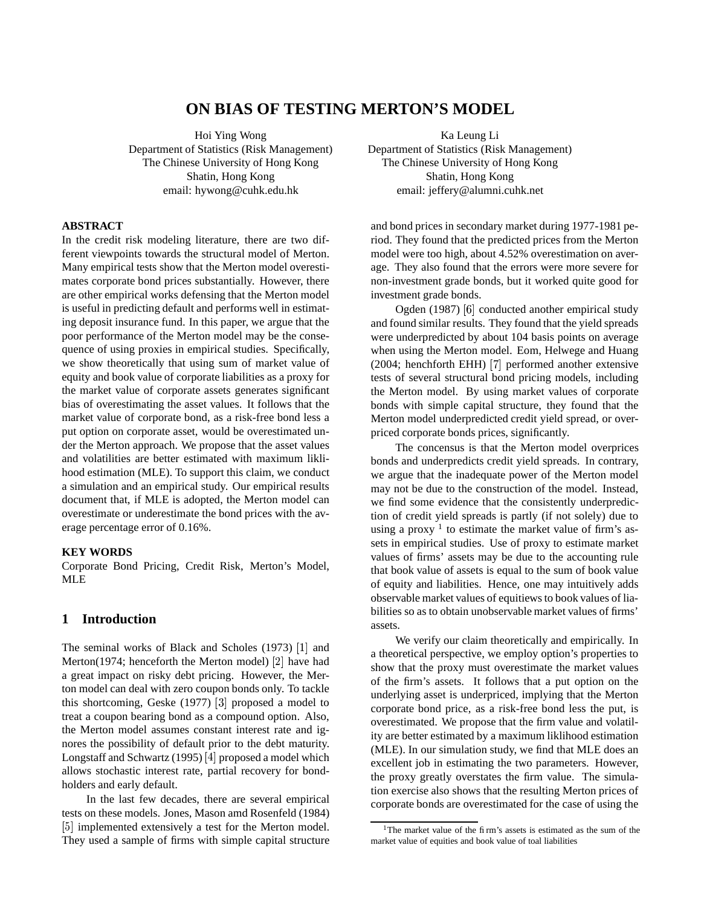# **ON BIAS OF TESTING MERTON'S MODEL**

Hoi Ying Wong Department of Statistics (Risk Management) The Chinese University of Hong Kong Shatin, Hong Kong email: hywong@cuhk.edu.hk

**ABSTRACT**

In the credit risk modeling literature, there are two different viewpoints towards the structural model of Merton. Many empirical tests show that the Merton model overestimates corporate bond prices substantially. However, there are other empirical works defensing that the Merton model is useful in predicting default and performs well in estimating deposit insurance fund. In this paper, we argue that the poor performance of the Merton model may be the consequence of using proxies in empirical studies. Specifically, we show theoretically that using sum of market value of equity and book value of corporate liabilities as a proxy for the market value of corporate assets generates significant bias of overestimating the asset values. It follows that the market value of corporate bond, as a risk-free bond less a put option on corporate asset, would be overestimated under the Merton approach. We propose that the asset values and volatilities are better estimated with maximum liklihood estimation (MLE). To support this claim, we conduct a simulation and an empirical study. Our empirical results document that, if MLE is adopted, the Merton model can overestimate or underestimate the bond prices with the average percentage error of 0.16%.

# **KEY WORDS**

Corporate Bond Pricing, Credit Risk, Merton's Model, MLE

## **1 Introduction**

The seminal works of Black and Scholes  $(1973)$   $[1]$  and Merton(1974; henceforth the Merton model)  $[2]$  have had a great impact on risky debt pricing. However, the Merton model can deal with zero coupon bonds only. To tackle this shortcoming, Geske  $(1977)$   $[3]$  proposed a model to treat a coupon bearing bond as a compound option. Also, the Merton model assumes constant interest rate and ignores the possibility of default prior to the debt maturity. Longstaff and Schwartz (1995) [4] proposed a model which allows stochastic interest rate, partial recovery for bondholders and early default.

In the last few decades, there are several empirical tests on these models. Jones, Mason amd Rosenfeld (1984) [5] implemented extensively a test for the Merton model. They used a sample of firms with simple capital structure

Ka Leung Li Department of Statistics (Risk Management) The Chinese University of Hong Kong Shatin, Hong Kong email: jeffery@alumni.cuhk.net

and bond prices in secondary market during 1977-1981 period. They found that the predicted prices from the Merton model were too high, about 4.52% overestimation on average. They also found that the errors were more severe for non-investment grade bonds, but it worked quite good for investment grade bonds.

Ogden (1987) [6] conducted another empirical study and found similar results. They found that the yield spreads were underpredicted by about 104 basis points on average when using the Merton model. Eom, Helwege and Huang (2004; henchforth EHH) [7] performed another extensive tests of several structural bond pricing models, including the Merton model. By using market values of corporate bonds with simple capital structure, they found that the Merton model underpredicted credit yield spread, or overpriced corporate bonds prices, significantly.

The concensus is that the Merton model overprices bonds and underpredicts credit yield spreads. In contrary, we argue that the inadequate power of the Merton model may not be due to the construction of the model. Instead, we find some evidence that the consistently underprediction of credit yield spreads is partly (if not solely) due to using a proxy<sup>1</sup> to estimate the market value of firm's assets in empirical studies. Use of proxy to estimate market values of firms' assets may be due to the accounting rule that book value of assets is equal to the sum of book value of equity and liabilities. Hence, one may intuitively adds observable market values of equitiewsto book values of liabilities so as to obtain unobservable market values of firms' assets.

We verify our claim theoretically and empirically. In a theoretical perspective, we employ option's properties to show that the proxy must overestimate the market values of the firm's assets. It follows that a put option on the underlying asset is underpriced, implying that the Merton corporate bond price, as a risk-free bond less the put, is overestimated. We propose that the firm value and volatility are better estimated by a maximum liklihood estimation (MLE). In our simulation study, we find that MLE does an excellent job in estimating the two parameters. However, the proxy greatly overstates the firm value. The simulation exercise also shows that the resulting Merton prices of corporate bonds are overestimated for the case of using the

<sup>&</sup>lt;sup>1</sup>The market value of the firm's assets is estimated as the sum of the market value of equities and book value of toal liabilities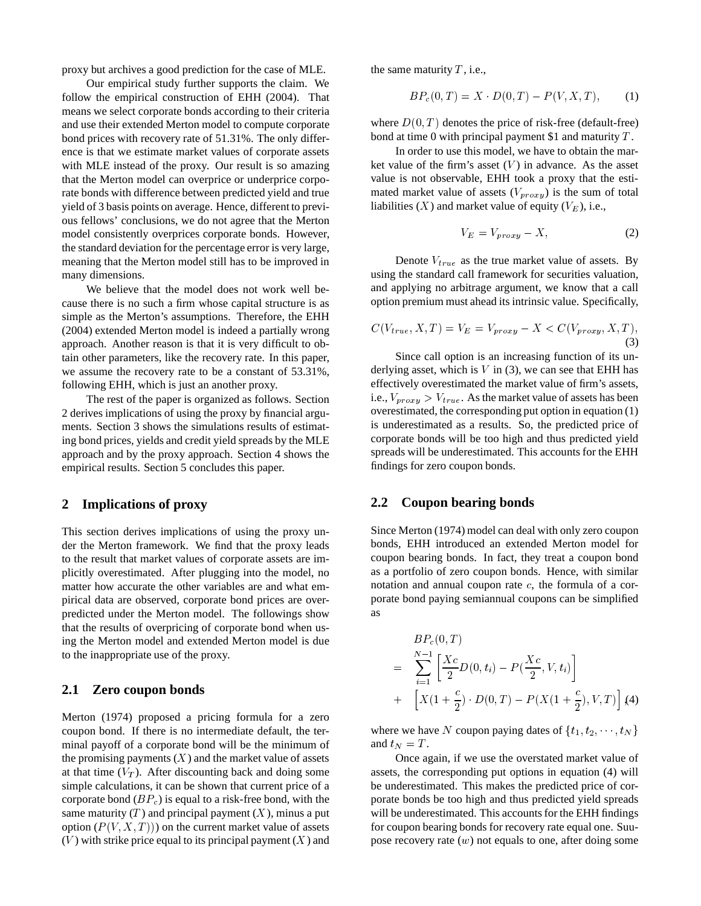proxy but archives a good prediction for the case of MLE.

Our empirical study further supports the claim. We follow the empirical construction of EHH (2004). That means we select corporate bonds according to their criteria and use their extended Merton model to compute corporate bond prices with recovery rate of 51.31%. The only difference is that we estimate market values of corporate assets with MLE instead of the proxy. Our result is so amazing that the Merton model can overprice or underprice corporate bonds with difference between predicted yield and true yield of 3 basis points on average. Hence, different to previous fellows' conclusions, we do not agree that the Merton model consistently overprices corporate bonds. However, the standard deviation for the percentage error is very large, meaning that the Merton model still has to be improved in many dimensions.

We believe that the model does not work well because there is no such a firm whose capital structure is as simple as the Merton's assumptions. Therefore, the EHH (2004) extended Merton model is indeed a partially wrong approach. Another reason is that it is very difficult to obtain other parameters, like the recovery rate. In this paper, we assume the recovery rate to be a constant of 53.31%, following EHH, which is just an another proxy.

The rest of the paper is organized as follows. Section 2 derives implications of using the proxy by financial arguments. Section 3 shows the simulations results of estimating bond prices, yields and credit yield spreads by the MLE approach and by the proxy approach. Section 4 shows the empirical results. Section 5 concludes this paper.

#### **2 Implications of proxy**

This section derives implications of using the proxy under the Merton framework. We find that the proxy leads to the result that market values of corporate assets are implicitly overestimated. After plugging into the model, no matter how accurate the other variables are and what empirical data are observed, corporate bond prices are overpredicted under the Merton model. The followings show that the results of overpricing of corporate bond when using the Merton model and extended Merton model is due to the inappropriate use of the proxy.

## **2.1 Zero coupon bonds**

Merton (1974) proposed a pricing formula for a zero coupon bond. If there is no intermediate default, the terminal payoff of a corporate bond will be the minimum of the promising payments  $(X)$  and the market value of assets at that time  $(V_T)$ . After discounting back and doing some simple calculations, it can be shown that current price of a corporate bond  $(BP_c)$  is equal to a risk-free bond, with the same maturity  $(T)$  and principal payment  $(X)$ , minus a put option  $(P(V, X, T))$  on the current market value of assets  $(V)$  with strike price equal to its principal payment  $(X)$  and

the same maturity  $T$ , i.e.,

$$
BP_c(0,T) = X \cdot D(0,T) - P(V, X, T), \tag{1}
$$

where  $D(0,T)$  denotes the price of risk-free (default-free) bond at time 0 with principal payment \$1 and maturity  $T$ .

In order to use this model, we have to obtain the market value of the firm's asset  $(V)$  in advance. As the asset value is not observable, EHH took a proxy that the estimated market value of assets  $(V_{prox}$ ) is the sum of total liabilities  $(X)$  and market value of equity  $(V_E)$ , i.e.,

$$
V_E = V_{prox y} - X,\t\t(2)
$$

Denote  $V_{true}$  as the true market value of assets. By using the standard call framework for securities valuation, and applying no arbitrage argument, we know that a call option premium must ahead its intrinsic value. Specifically,

$$
C(V_{true}, X, T) = V_E = V_{proxy} - X < C(V_{proxy}, X, T), \tag{3}
$$

Since call option is an increasing function of its underlying asset, which is  $V$  in (3), we can see that EHH has effectively overestimated the market value of firm's assets, i.e.,  $V_{prox} > V_{true}$ . As the market value of assets has been overestimated, the corresponding put option in equation (1) is underestimated as a results. So, the predicted price of corporate bonds will be too high and thus predicted yield spreads will be underestimated. This accounts for the EHH findings for zero coupon bonds.

### **2.2 Coupon bearing bonds**

Since Merton (1974) model can deal with only zero coupon bonds, EHH introduced an extended Merton model for coupon bearing bonds. In fact, they treat a coupon bond as a portfolio of zero coupon bonds. Hence, with similar notation and annual coupon rate  $c$ , the formula of a corporate bond paying semiannual coupons can be simplified as

$$
BP_c(0, T)
$$
  
= 
$$
\sum_{i=1}^{N-1} \left[ \frac{Xc}{2} D(0, t_i) - P(\frac{Xc}{2}, V, t_i) \right]
$$
  
+ 
$$
\left[ X(1 + \frac{c}{2}) \cdot D(0, T) - P(X(1 + \frac{c}{2}), V, T) \right] (4)
$$

where we have N coupon paying dates of  $\{t_1, t_2, \dots, t_N\}$ and  $t_N = T$ .

Once again, if we use the overstated market value of assets, the corresponding put options in equation (4) will be underestimated. This makes the predicted price of corporate bonds be too high and thus predicted yield spreads will be underestimated. This accounts for the EHH findings for coupon bearing bonds for recovery rate equal one. Suupose recovery rate  $(w)$  not equals to one, after doing some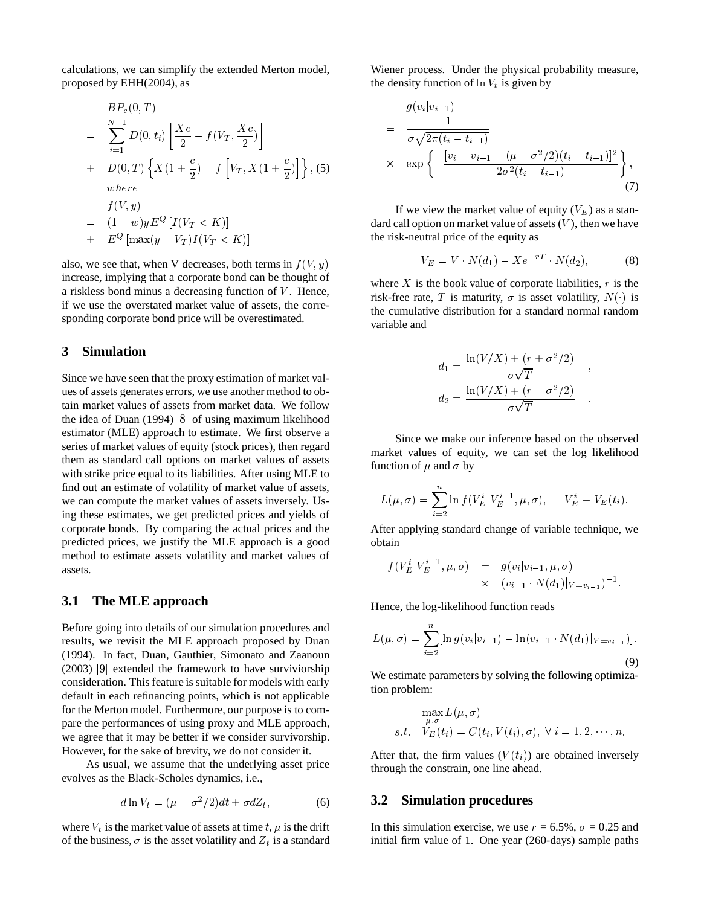calculations, we can simplify the extended Merton model, proposed by EHH(2004), as

$$
BP_c(0, T)
$$
  
= 
$$
\sum_{i=1}^{N-1} D(0, t_i) \left[ \frac{Xc}{2} - f(V_T, \frac{Xc}{2}) \right]
$$
  
+ 
$$
D(0, T) \left\{ X(1 + \frac{c}{2}) - f\left[ V_T, X(1 + \frac{c}{2}) \right] \right\}, (5)
$$
  
where  

$$
f(V, y)
$$
  
= 
$$
(1 - w)yE^{Q}[I(V_T < K)]
$$
  
+ 
$$
E^{Q}[\max(y - V_T)I(V_T < K)]
$$

also, we see that, when V decreases, both terms in  $f(V, y)$ increase, implying that a corporate bond can be thought of a riskless bond minus a decreasing function of  $V$ . Hence, if we use the overstated market value of assets, the corresponding corporate bond price will be overestimated.

# **3 Simulation**

Since we have seen that the proxy estimation of market values of assets generates errors, we use another method to obtain market values of assets from market data. We follow the idea of Duan  $(1994)$   $[8]$  of using maximum likelihood estimator (MLE) approach to estimate. We first observe a series of market values of equity (stock prices), then regard them as standard call options on market values of assets with strike price equal to its liabilities. After using MLE to find out an estimate of volatility of market value of assets, we can compute the market values of assets inversely. Using these estimates, we get predicted prices and yields of corporate bonds. By comparing the actual prices and the predicted prices, we justify the MLE approach is a good method to estimate assets volatility and market values of assets.

#### **3.1 The MLE approach**

Before going into details of our simulation procedures and results, we revisit the MLE approach proposed by Duan (1994). In fact, Duan, Gauthier, Simonato and Zaanoun  $(2003)$  [9] extended the framework to have surviviorship consideration. This feature is suitable for models with early default in each refinancing points, which is not applicable for the Merton model. Furthermore, our purpose is to compare the performances of using proxy and MLE approach, we agree that it may be better if we consider survivorship. However, for the sake of brevity, we do not consider it.

As usual, we assume that the underlying asset price evolves as the Black-Scholes dynamics, i.e.,

$$
d\ln V_t = (\mu - \sigma^2/2)dt + \sigma dZ_t, \qquad (6)
$$

where  $V_t$  is the market value of assets at time t,  $\mu$  is the drift of the business,  $\sigma$  is the asset volatility and  $Z_t$  is a standard Wiener process. Under the physical probability measure, the density function of  $\ln V_t$  is given by

$$
g(v_i|v_{i-1})
$$
\n
$$
= \frac{1}{\sigma\sqrt{2\pi(t_i - t_{i-1})}}
$$
\n
$$
\times \exp\left\{-\frac{[v_i - v_{i-1} - (\mu - \sigma^2/2)(t_i - t_{i-1})]^2}{2\sigma^2(t_i - t_{i-1})}\right\},\tag{7}
$$

If we view the market value of equity  $(V_E)$  as a standard call option on market value of assets  $(V)$ , then we have the risk-neutral price of the equity as

$$
V_E = V \cdot N(d_1) - X e^{-rT} \cdot N(d_2), \tag{8}
$$

where  $X$  is the book value of corporate liabilities,  $r$  is the risk-free rate, T is maturity,  $\sigma$  is asset volatility,  $N()$  is the cumulative distribution for a standard normal random variable and

$$
d_1 = \frac{\ln(V/X) + (r + \sigma^2/2)}{\sigma\sqrt{T}} ,
$$
  
\n
$$
d_2 = \frac{\ln(V/X) + (r - \sigma^2/2)}{\sigma\sqrt{T}}.
$$

the contract of the contract of the

Since we make our inference based on the observed market values of equity, we can set the log likelihood function of  $\mu$  and  $\sigma$  by

$$
L(\mu, \sigma) = \sum_{i=2}^{n} \ln f(V_E^i | V_E^{i-1}, \mu, \sigma), \quad V_E^i \equiv V_E(t_i).
$$

After applying standard change of variable technique, we obtain

$$
f(V_E^i|V_E^{i-1}, \mu, \sigma) = g(v_i|v_{i-1}, \mu, \sigma) \times (v_{i-1} \cdot N(d_1)|_{V = v_{i-1}})^{-1}.
$$

Hence, the log-likelihood function reads

$$
L(\mu, \sigma) = \sum_{i=2}^{n} [\ln g(v_i | v_{i-1}) - \ln(v_{i-1} \cdot N(d_1) |_{V=v_{i-1}})].
$$
\n(9)

We estimate parameters by solving the following optimization problem:

$$
\max_{\mu,\sigma} L(\mu,\sigma)
$$
  
s.t.  $V_E(t_i) = C(t_i, V(t_i),\sigma), \ \forall \ i = 1, 2, \cdots, n.$ 

After that, the firm values  $(V(t_i))$  are obtained inversely through the constrain, one line ahead.

#### **3.2 Simulation procedures**

In this simulation exercise, we use  $r = 6.5\%$ ,  $\sigma = 0.25$  and initial firm value of 1. One year (260-days) sample paths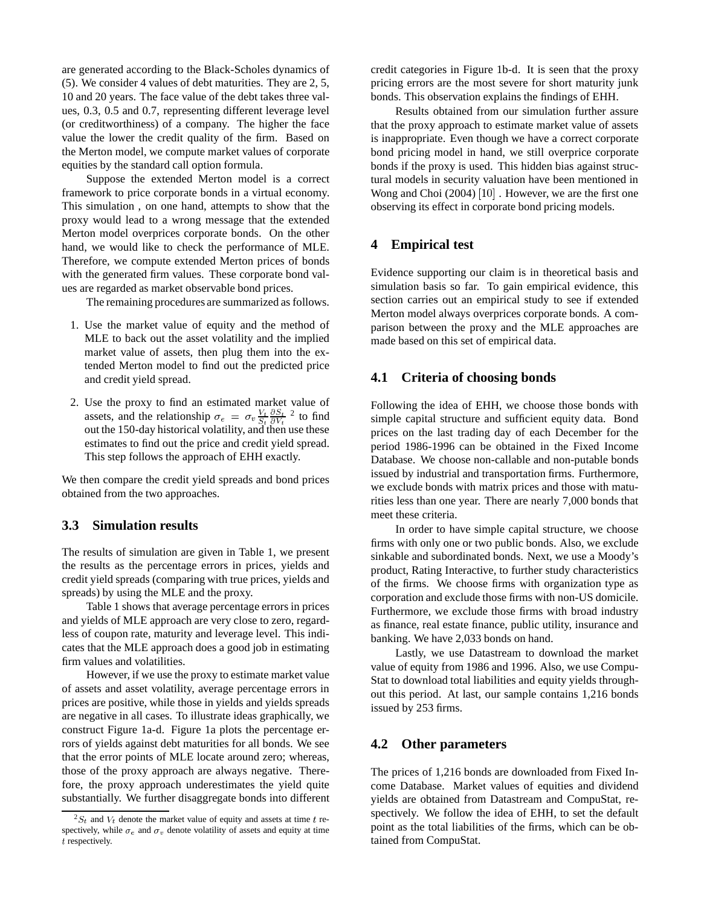are generated according to the Black-Scholes dynamics of (5). We consider 4 values of debt maturities. They are 2, 5, 10 and 20 years. The face value of the debt takes three values, 0.3, 0.5 and 0.7, representing different leverage level (or creditworthiness) of a company. The higher the face value the lower the credit quality of the firm. Based on the Merton model, we compute market values of corporate equities by the standard call option formula.

Suppose the extended Merton model is a correct framework to price corporate bonds in a virtual economy. This simulation , on one hand, attempts to show that the proxy would lead to a wrong message that the extended Merton model overprices corporate bonds. On the other hand, we would like to check the performance of MLE. Therefore, we compute extended Merton prices of bonds with the generated firm values. These corporate bond values are regarded as market observable bond prices.

The remaining procedures are summarized as follows.

- 1. Use the market value of equity and the method of MLE to back out the asset volatility and the implied market value of assets, then plug them into the extended Merton model to find out the predicted price and credit yield spread.
- 2. Use the proxy to find an estimated market value of Use the proxy to find an estimated market value of assets, and the relationship  $\sigma_e = \sigma_v \frac{V_t}{S} \frac{\partial S_t}{\partial V}^2$  to find out the 150-day historical volatility, and then use these estimates to find out the price and credit yield spread. This step follows the approach of EHH exactly.

We then compare the credit yield spreads and bond prices obtained from the two approaches.

# **3.3 Simulation results**

The results of simulation are given in Table 1, we present the results as the percentage errors in prices, yields and credit yield spreads (comparing with true prices, yields and spreads) by using the MLE and the proxy.

Table 1 shows that average percentage errors in prices and yields of MLE approach are very close to zero, regardless of coupon rate, maturity and leverage level. This indicates that the MLE approach does a good job in estimating firm values and volatilities.

However, if we use the proxy to estimate market value of assets and asset volatility, average percentage errors in prices are positive, while those in yields and yields spreads are negative in all cases. To illustrate ideas graphically, we construct Figure 1a-d. Figure 1a plots the percentage errors of yields against debt maturities for all bonds. We see that the error points of MLE locate around zero; whereas, those of the proxy approach are always negative. Therefore, the proxy approach underestimates the yield quite substantially. We further disaggregate bonds into different credit categories in Figure 1b-d. It is seen that the proxy pricing errors are the most severe for short maturity junk bonds. This observation explains the findings of EHH.

Results obtained from our simulation further assure that the proxy approach to estimate market value of assets is inappropriate. Even though we have a correct corporate bond pricing model in hand, we still overprice corporate bonds if the proxy is used. This hidden bias against structural models in security valuation have been mentioned in Wong and Choi  $(2004)$   $[10]$  . However, we are the first one observing its effect in corporate bond pricing models.

#### **4 Empirical test**

Evidence supporting our claim is in theoretical basis and simulation basis so far. To gain empirical evidence, this section carries out an empirical study to see if extended Merton model always overprices corporate bonds. A comparison between the proxy and the MLE approaches are made based on this set of empirical data.

### **4.1 Criteria of choosing bonds**

Following the idea of EHH, we choose those bonds with simple capital structure and sufficient equity data. Bond prices on the last trading day of each December for the period 1986-1996 can be obtained in the Fixed Income Database. We choose non-callable and non-putable bonds issued by industrial and transportation firms. Furthermore, we exclude bonds with matrix prices and those with maturities less than one year. There are nearly 7,000 bonds that meet these criteria.

In order to have simple capital structure, we choose firms with only one or two public bonds. Also, we exclude sinkable and subordinated bonds. Next, we use a Moody's product, Rating Interactive, to further study characteristics of the firms. We choose firms with organization type as corporation and exclude those firms with non-US domicile. Furthermore, we exclude those firms with broad industry as finance, real estate finance, public utility, insurance and banking. We have 2,033 bonds on hand.

Lastly, we use Datastream to download the market value of equity from 1986 and 1996. Also, we use Compu-Stat to download total liabilities and equity yields throughout this period. At last, our sample contains 1,216 bonds issued by 253 firms.

# **4.2 Other parameters**

The prices of 1,216 bonds are downloaded from Fixed Income Database. Market values of equities and dividend yields are obtained from Datastream and CompuStat, respectively. We follow the idea of EHH, to set the default point as the total liabilities of the firms, which can be obtained from CompuStat.

 ${}^{2}S_{t}$  and  $V_{t}$  denote the market value of equity and assets at time t respectively, while  $\sigma_e$  and  $\sigma_v$  denote volatility of assets and equity at time  $t$  respectively.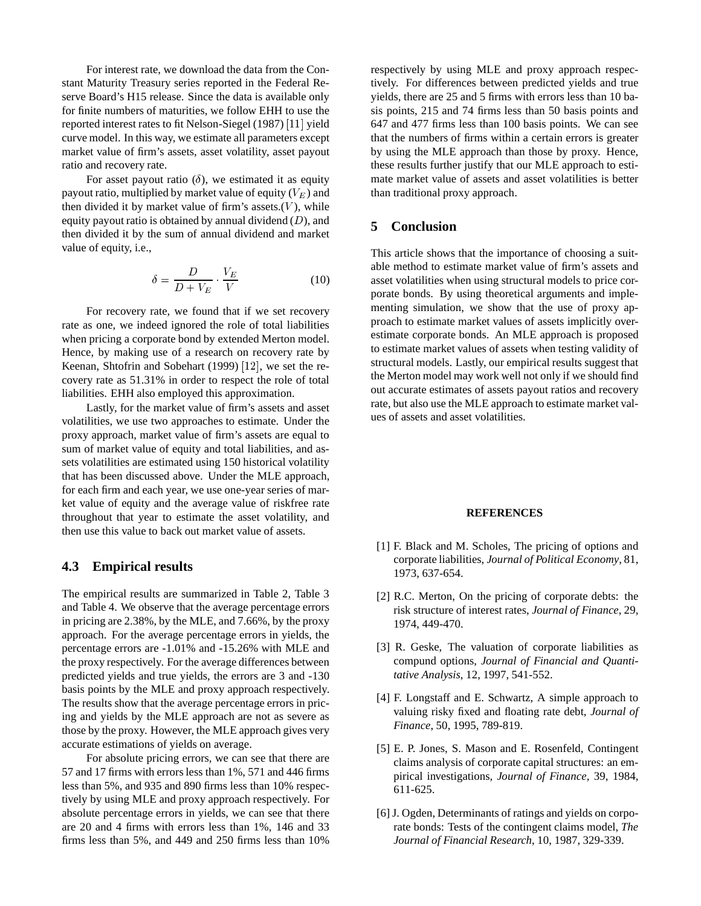For interest rate, we download the data from the Constant Maturity Treasury series reported in the Federal Reserve Board's H15 release. Since the data is available only for finite numbers of maturities, we follow EHH to use the reported interest rates to fit Nelson-Siegel (1987) [11] yield curve model. In this way, we estimate all parameters except market value of firm's assets, asset volatility, asset payout ratio and recovery rate.

For asset payout ratio  $(\delta)$ , we estimated it as equity payout ratio, multiplied by market value of equity  $(V_E)$  and then divided it by market value of firm's assets. $(V)$ , while equity payout ratio is obtained by annual dividend  $(D)$ , and then divided it by the sum of annual dividend and market value of equity, i.e.,

$$
\delta = \frac{D}{D + V_E} \cdot \frac{V_E}{V}
$$
 (10)

For recovery rate, we found that if we set recovery rate as one, we indeed ignored the role of total liabilities when pricing a corporate bond by extended Merton model. Hence, by making use of a research on recovery rate by Keenan, Shtofrin and Sobehart  $(1999)$  [12], we set the recovery rate as 51.31% in order to respect the role of total liabilities. EHH also employed this approximation.

Lastly, for the market value of firm's assets and asset volatilities, we use two approaches to estimate. Under the proxy approach, market value of firm's assets are equal to sum of market value of equity and total liabilities, and assets volatilities are estimated using 150 historical volatility that has been discussed above. Under the MLE approach, for each firm and each year, we use one-year series of market value of equity and the average value of riskfree rate throughout that year to estimate the asset volatility, and then use this value to back out market value of assets.

# **4.3 Empirical results**

The empirical results are summarized in Table 2, Table 3 and Table 4. We observe that the average percentage errors in pricing are 2.38%, by the MLE, and 7.66%, by the proxy approach. For the average percentage errors in yields, the percentage errors are -1.01% and -15.26% with MLE and the proxy respectively. For the average differences between predicted yields and true yields, the errors are 3 and -130 basis points by the MLE and proxy approach respectively. The results show that the average percentage errors in pricing and yields by the MLE approach are not as severe as those by the proxy. However, the MLE approach gives very accurate estimations of yields on average.

For absolute pricing errors, we can see that there are 57 and 17 firms with errors less than 1%, 571 and 446 firms less than 5%, and 935 and 890 firms less than 10% respectively by using MLE and proxy approach respectively. For absolute percentage errors in yields, we can see that there are 20 and 4 firms with errors less than 1%, 146 and 33 firms less than 5%, and 449 and 250 firms less than 10%

respectively by using MLE and proxy approach respectively. For differences between predicted yields and true yields, there are 25 and 5 firms with errors less than 10 basis points, 215 and 74 firms less than 50 basis points and 647 and 477 firms less than 100 basis points. We can see that the numbers of firms within a certain errors is greater by using the MLE approach than those by proxy. Hence, these results further justify that our MLE approach to estimate market value of assets and asset volatilities is better than traditional proxy approach.

# **5 Conclusion**

This article shows that the importance of choosing a suitable method to estimate market value of firm's assets and asset volatilities when using structural models to price corporate bonds. By using theoretical arguments and implementing simulation, we show that the use of proxy approach to estimate market values of assets implicitly overestimate corporate bonds. An MLE approach is proposed to estimate market values of assets when testing validity of structural models. Lastly, our empirical results suggest that the Merton model may work well not only if we should find out accurate estimates of assets payout ratios and recovery rate, but also use the MLE approach to estimate market values of assets and asset volatilities.

#### **REFERENCES**

- [1] F. Black and M. Scholes, The pricing of options and corporate liabilities, *Journal of Political Economy*, 81, 1973, 637-654.
- [2] R.C. Merton, On the pricing of corporate debts: the risk structure of interest rates, *Journal of Finance*, 29, 1974, 449-470.
- [3] R. Geske, The valuation of corporate liabilities as compund options, *Journal of Financial and Quantitative Analysis*, 12, 1997, 541-552.
- [4] F. Longstaff and E. Schwartz, A simple approach to valuing risky fixed and floating rate debt, *Journal of Finance*, 50, 1995, 789-819.
- [5] E. P. Jones, S. Mason and E. Rosenfeld, Contingent claims analysis of corporate capital structures: an empirical investigations, *Journal of Finance*, 39, 1984, 611-625.
- [6] J. Ogden, Determinants of ratings and yields on corporate bonds: Tests of the contingent claims model, *The Journal of Financial Research*, 10, 1987, 329-339.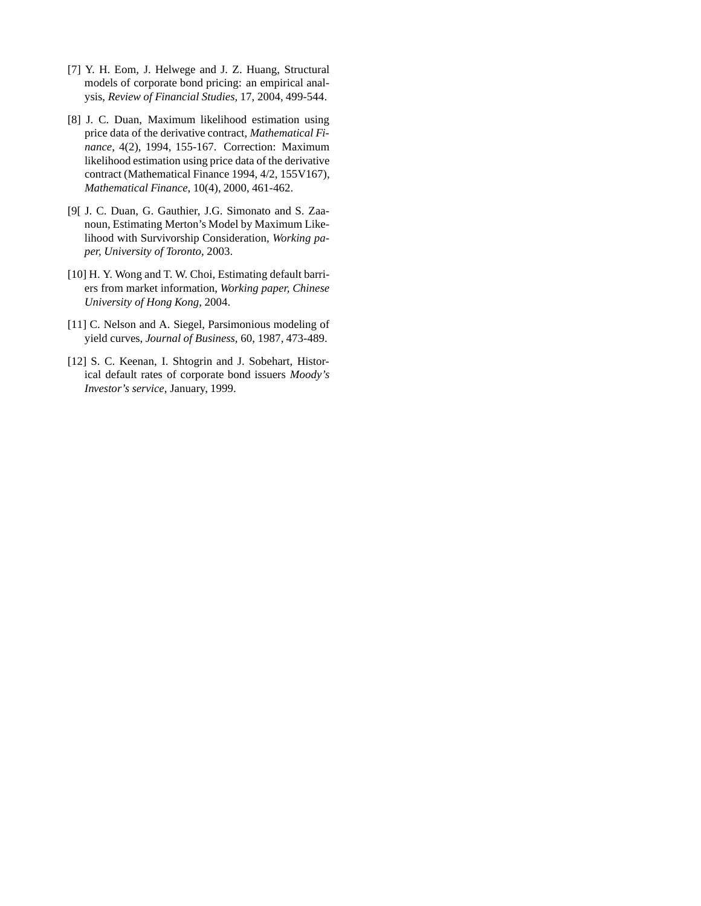- [7] Y. H. Eom, J. Helwege and J. Z. Huang, Structural models of corporate bond pricing: an empirical analysis, *Review of Financial Studies*, 17, 2004, 499-544.
- [8] J. C. Duan, Maximum likelihood estimation using price data of the derivative contract, *Mathematical Finance*, 4(2), 1994, 155-167. Correction: Maximum likelihood estimation using price data of the derivative contract (Mathematical Finance 1994, 4/2, 155V167), *Mathematical Finance*, 10(4), 2000, 461-462.
- [9[ J. C. Duan, G. Gauthier, J.G. Simonato and S. Zaanoun, Estimating Merton's Model by Maximum Likelihood with Survivorship Consideration, *Working paper, University of Toronto*, 2003.
- [10] H. Y. Wong and T. W. Choi, Estimating default barriers from market information, *Working paper, Chinese University of Hong Kong*, 2004.
- [11] C. Nelson and A. Siegel, Parsimonious modeling of yield curves, *Journal of Business*, 60, 1987, 473-489.
- [12] S. C. Keenan, I. Shtogrin and J. Sobehart, Historical default rates of corporate bond issuers *Moody's Investor's service*, January, 1999.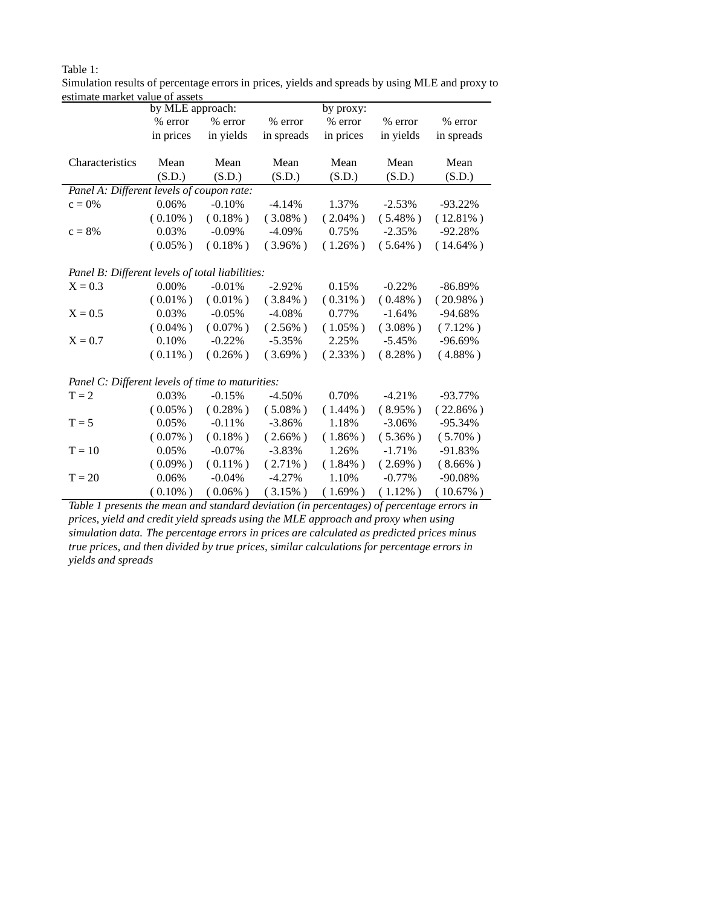|                                                  | by MLE approach: |            | by proxy:  |            |            |             |
|--------------------------------------------------|------------------|------------|------------|------------|------------|-------------|
|                                                  | % error          | % error    | % error    | % error    | % error    | % error     |
|                                                  | in prices        | in yields  | in spreads | in prices  | in yields  | in spreads  |
|                                                  |                  |            |            |            |            |             |
| Characteristics                                  | Mean             | Mean       | Mean       | Mean       | Mean       | Mean        |
|                                                  | (S.D.)           | (S.D.)     | (S.D.)     | (S.D.)     | (S.D.)     | (S.D.)      |
| Panel A: Different levels of coupon rate:        |                  |            |            |            |            |             |
| $c = 0\%$                                        | 0.06%            | $-0.10%$   | $-4.14%$   | 1.37%      | $-2.53%$   | $-93.22\%$  |
|                                                  | $(0.10\%)$       | $(0.18\%)$ | $(3.08\%)$ | $(2.04\%)$ | $(5.48\%)$ | $(12.81\%)$ |
| $c = 8%$                                         | 0.03%            | $-0.09\%$  | $-4.09\%$  | 0.75%      | $-2.35%$   | $-92.28%$   |
|                                                  | $(0.05\%)$       | $(0.18\%)$ | $(3.96\%)$ | $(1.26\%)$ | $(5.64\%)$ | $(14.64\%)$ |
|                                                  |                  |            |            |            |            |             |
| Panel B: Different levels of total liabilities:  |                  |            |            |            |            |             |
| $X = 0.3$                                        | $0.00\%$         | $-0.01%$   | $-2.92\%$  | 0.15%      | $-0.22%$   | -86.89%     |
|                                                  | $(0.01\%)$       | $(0.01\%)$ | $(3.84\%)$ | $(0.31\%)$ | $(0.48\%)$ | $(20.98\%)$ |
| $X = 0.5$                                        | 0.03%            | $-0.05%$   | $-4.08%$   | 0.77%      | $-1.64%$   | $-94.68%$   |
|                                                  | $(0.04\%)$       | $(0.07\%)$ | $(2.56\%)$ | $(1.05\%)$ | $(3.08\%)$ | $(7.12\%)$  |
| $X = 0.7$                                        | 0.10%            | $-0.22%$   | $-5.35%$   | 2.25%      | $-5.45%$   | $-96.69%$   |
|                                                  | $(0.11\%)$       | $(0.26\%)$ | $(3.69\%)$ | $(2.33\%)$ | $(8.28\%)$ | $(4.88\%)$  |
|                                                  |                  |            |            |            |            |             |
| Panel C: Different levels of time to maturities: |                  |            |            |            |            |             |
| $T = 2$                                          | 0.03%            | $-0.15%$   | $-4.50%$   | 0.70%      | $-4.21%$   | $-93.77\%$  |
|                                                  | $(0.05\%)$       | $(0.28\%)$ | $(5.08\%)$ | $(1.44\%)$ | $(8.95\%)$ | $(22.86\%)$ |
| $T = 5$                                          | 0.05%            | $-0.11%$   | $-3.86%$   | 1.18%      | $-3.06\%$  | -95.34%     |
|                                                  | $(0.07\%)$       | $(0.18\%)$ | $(2.66\%)$ | $(1.86\%)$ | $(5.36\%)$ | $(5.70\%)$  |
| $T = 10$                                         | 0.05%            | $-0.07\%$  | $-3.83\%$  | 1.26%      | $-1.71%$   | -91.83%     |
|                                                  | $(0.09\%)$       | $(0.11\%)$ | $(2.71\%)$ | $(1.84\%)$ | $(2.69\%)$ | $(8.66\%)$  |
| $T = 20$                                         | 0.06%            | $-0.04%$   | $-4.27%$   | 1.10%      | $-0.77%$   | $-90.08%$   |
|                                                  | $(0.10\%)$       | $(0.06\%)$ | $(3.15\%)$ | $(1.69\%)$ | $(1.12\%)$ | $(10.67\%)$ |

Simulation results of percentage errors in prices, yields and spreads by using MLE and proxy to estimate market value of assets

Table 1:

*Table 1 presents the mean and standard deviation (in percentages) of percentage errors in prices, yield and credit yield spreads using the MLE approach and proxy when using simulation data. The percentage errors in prices are calculated as predicted prices minus true prices, and then divided by true prices, similar calculations for percentage errors in yields and spreads*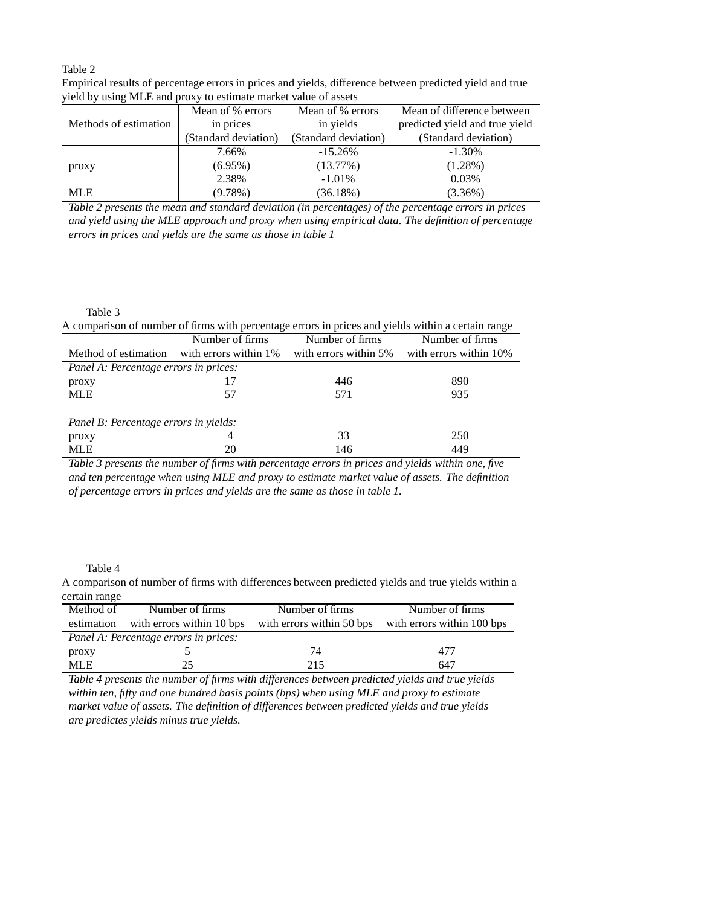#### Table 2

| $\mu$ , while $\mu$ is the state $\mu$ . The second section of the state of the second second section of $\mu$ |                      |                      |                                |  |  |
|----------------------------------------------------------------------------------------------------------------|----------------------|----------------------|--------------------------------|--|--|
|                                                                                                                | Mean of % errors     | Mean of % errors     | Mean of difference between     |  |  |
| Methods of estimation                                                                                          | in prices            | in yields            | predicted yield and true yield |  |  |
|                                                                                                                | (Standard deviation) | (Standard deviation) | (Standard deviation)           |  |  |
|                                                                                                                | 7.66%                | $-15.26\%$           | $-1.30\%$                      |  |  |
| proxy                                                                                                          | $(6.95\%)$           | (13.77%)             | $(1.28\%)$                     |  |  |
|                                                                                                                | 2.38%                | $-1.01\%$            | 0.03%                          |  |  |
| <b>MLE</b>                                                                                                     | $(9.78\%)$           | (36.18%)             | $(3.36\%)$                     |  |  |

Empirical results of percentage errors in prices and yields, difference between predicted yield and true yield by using MLE and proxy to estimate market value of assets

*Table 2 presents the mean and standard deviation (in percentages) of the percentage errors in prices and yield using the MLE approach and proxy when using empirical data. The definition of percentage errors in prices and yields are the same as those in table 1*

#### Table 3

| A comparison of number of firms with percentage errors in prices and yields within a certain range |                        |                       |                        |  |  |
|----------------------------------------------------------------------------------------------------|------------------------|-----------------------|------------------------|--|--|
|                                                                                                    | Number of firms        | Number of firms       | Number of firms        |  |  |
| Method of estimation                                                                               | with errors within 1\% | with errors within 5% | with errors within 10% |  |  |
| Panel A: Percentage errors in prices:                                                              |                        |                       |                        |  |  |
| proxy                                                                                              |                        | 446                   | 890                    |  |  |
| <b>MLE</b>                                                                                         | 57                     | 571                   | 935                    |  |  |
| Panel B: Percentage errors in yields:                                                              |                        |                       |                        |  |  |
| proxy                                                                                              | 4                      | 33                    | 250                    |  |  |
| <b>MLE</b>                                                                                         | 20                     | 146                   | 449                    |  |  |

*Table 3 presents the number of firms with percentage errors in prices and yields within one, five and ten percentage when using MLE and proxy to estimate market value of assets. The definition of percentage errors in prices and yields are the same as those in table 1.*

#### Table 4

A comparison of number of firms with differences between predicted yields and true yields within a certain range

| Method of                             | Number of firms           | Number of firms | Number of firms                                      |
|---------------------------------------|---------------------------|-----------------|------------------------------------------------------|
| estimation                            | with errors within 10 bps |                 | with errors within 50 bps with errors within 100 bps |
| Panel A: Percentage errors in prices: |                           |                 |                                                      |
| proxy                                 |                           | 74              | 477                                                  |
| MLE.                                  | 25                        | 215             | 647                                                  |

*Table 4 presents the number of firms with differences between predicted yields and true yields within ten, fifty and one hundred basis points (bps) when using MLE and proxy to estimate market value of assets. The definition of differences between predicted yields and true yields are predictes yields minus true yields.*